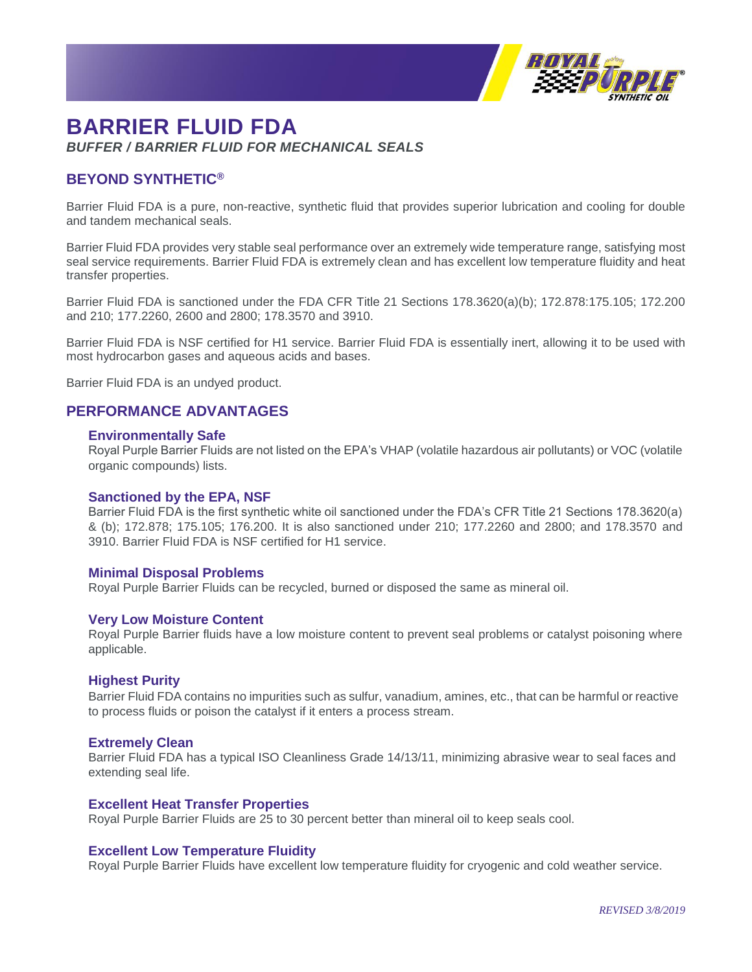

# **BARRIER FLUID FDA** *BUFFER / BARRIER FLUID FOR MECHANICAL SEALS*

# **BEYOND SYNTHETIC®**

Barrier Fluid FDA is a pure, non-reactive, synthetic fluid that provides superior lubrication and cooling for double and tandem mechanical seals.

Barrier Fluid FDA provides very stable seal performance over an extremely wide temperature range, satisfying most seal service requirements. Barrier Fluid FDA is extremely clean and has excellent low temperature fluidity and heat transfer properties.

Barrier Fluid FDA is sanctioned under the FDA CFR Title 21 Sections 178.3620(a)(b); 172.878:175.105; 172.200 and 210; 177.2260, 2600 and 2800; 178.3570 and 3910.

Barrier Fluid FDA is NSF certified for H1 service. Barrier Fluid FDA is essentially inert, allowing it to be used with most hydrocarbon gases and aqueous acids and bases.

Barrier Fluid FDA is an undyed product.

# **PERFORMANCE ADVANTAGES**

### **Environmentally Safe**

Royal Purple Barrier Fluids are not listed on the EPA's VHAP (volatile hazardous air pollutants) or VOC (volatile organic compounds) lists.

#### **Sanctioned by the EPA, NSF**

Barrier Fluid FDA is the first synthetic white oil sanctioned under the FDA's CFR Title 21 Sections 178.3620(a) & (b); 172.878; 175.105; 176.200. It is also sanctioned under 210; 177.2260 and 2800; and 178.3570 and 3910. Barrier Fluid FDA is NSF certified for H1 service.

#### **Minimal Disposal Problems**

Royal Purple Barrier Fluids can be recycled, burned or disposed the same as mineral oil.

#### **Very Low Moisture Content**

Royal Purple Barrier fluids have a low moisture content to prevent seal problems or catalyst poisoning where applicable.

#### **Highest Purity**

Barrier Fluid FDA contains no impurities such as sulfur, vanadium, amines, etc., that can be harmful or reactive to process fluids or poison the catalyst if it enters a process stream.

## **Extremely Clean**

Barrier Fluid FDA has a typical ISO Cleanliness Grade 14/13/11, minimizing abrasive wear to seal faces and extending seal life.

## **Excellent Heat Transfer Properties**

Royal Purple Barrier Fluids are 25 to 30 percent better than mineral oil to keep seals cool.

## **Excellent Low Temperature Fluidity**

Royal Purple Barrier Fluids have excellent low temperature fluidity for cryogenic and cold weather service.